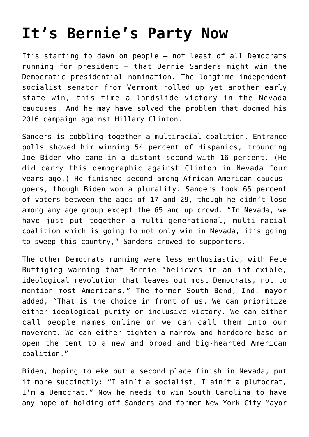## **[It's Bernie's Party Now](https://intellectualtakeout.org/2020/02/its-bernies-party-now/)**

It's starting to dawn on people – not least of all Democrats running for president – that Bernie Sanders might win the Democratic presidential nomination. The longtime independent socialist senator from Vermont rolled up yet another early state win, this time a landslide victory in the Nevada caucuses. And he may have solved the problem that doomed his 2016 campaign against Hillary Clinton.

Sanders is cobbling together a multiracial coalition. Entrance polls showed him winning 54 percent of Hispanics, trouncing Joe Biden who came in a distant second with 16 percent. (He did carry this demographic against Clinton in Nevada four years ago.) He finished second among African-American caucusgoers, though Biden won a plurality. Sanders took 65 percent of voters between the ages of 17 and 29, though he didn't lose among any age group except the 65 and up crowd. "In Nevada, we have just put together a multi-generational, multi-racial coalition which is going to not only win in Nevada, it's going to sweep this country," Sanders crowed to supporters.

The other Democrats running were less enthusiastic, with Pete Buttigieg warning that Bernie "believes in an inflexible, ideological revolution that leaves out most Democrats, not to mention most Americans." The former South Bend, Ind. mayor added, "That is the choice in front of us. We can prioritize either ideological purity or inclusive victory. We can either call people names online or we can call them into our movement. We can either tighten a narrow and hardcore base or open the tent to a new and broad and big-hearted American coalition."

Biden, hoping to eke out a second place finish in Nevada, put it more succinctly: "I ain't a socialist, I ain't a plutocrat, I'm a Democrat." Now he needs to win South Carolina to have any hope of holding off Sanders and former New York City Mayor